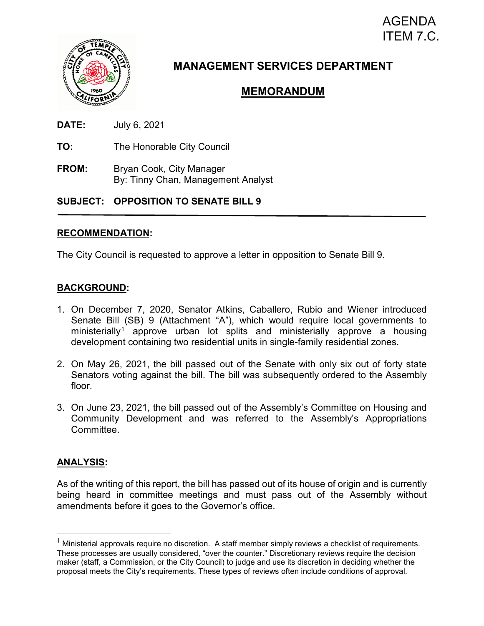# AGENDA ITEM 7.C.



# **MANAGEMENT SERVICES DEPARTMENT**

# **MEMORANDUM**

- **DATE:** July 6, 2021
- **TO:** The Honorable City Council
- **FROM:** Bryan Cook, City Manager By: Tinny Chan, Management Analyst

## **SUBJECT: OPPOSITION TO SENATE BILL 9**

### **RECOMMENDATION:**

The City Council is requested to approve a letter in opposition to Senate Bill 9.

## **BACKGROUND:**

- 1. On December 7, 2020, Senator Atkins, Caballero, Rubio and Wiener introduced Senate Bill (SB) 9 (Attachment "A"), which would require local governments to ministerially<sup>[1](#page-0-0)</sup> approve urban lot splits and ministerially approve a housing development containing two residential units in single-family residential zones.
- 2. On May 26, 2021, the bill passed out of the Senate with only six out of forty state Senators voting against the bill. The bill was subsequently ordered to the Assembly floor.
- 3. On June 23, 2021, the bill passed out of the Assembly's Committee on Housing and Community Development and was referred to the Assembly's Appropriations Committee.

## **ANALYSIS:**

As of the writing of this report, the bill has passed out of its house of origin and is currently being heard in committee meetings and must pass out of the Assembly without amendments before it goes to the Governor's office.

<span id="page-0-0"></span> $1$  Ministerial approvals require no discretion. A staff member simply reviews a checklist of requirements. These processes are usually considered, "over the counter." Discretionary reviews require the decision maker (staff, a Commission, or the City Council) to judge and use its discretion in deciding whether the proposal meets the City's requirements. These types of reviews often include conditions of approval.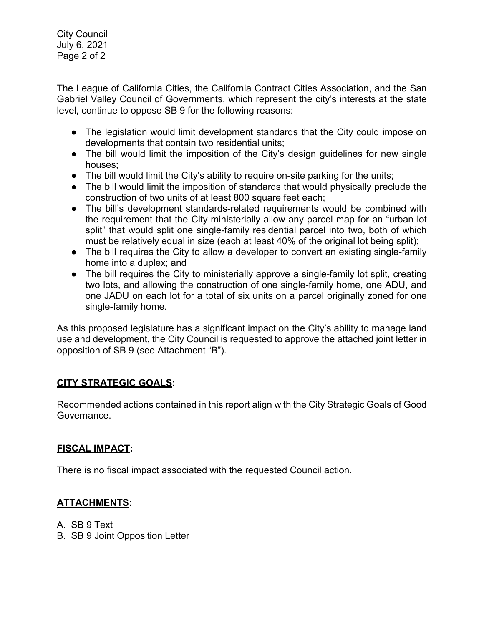City Council July 6, 2021 Page 2 of 2

The League of California Cities, the California Contract Cities Association, and the San Gabriel Valley Council of Governments, which represent the city's interests at the state level, continue to oppose SB 9 for the following reasons:

- The legislation would limit development standards that the City could impose on developments that contain two residential units;
- The bill would limit the imposition of the City's design guidelines for new single houses;
- The bill would limit the City's ability to require on-site parking for the units;
- The bill would limit the imposition of standards that would physically preclude the construction of two units of at least 800 square feet each;
- The bill's development standards-related requirements would be combined with the requirement that the City ministerially allow any parcel map for an "urban lot split" that would split one single-family residential parcel into two, both of which must be relatively equal in size (each at least 40% of the original lot being split);
- The bill requires the City to allow a developer to convert an existing single-family home into a duplex; and
- The bill requires the City to ministerially approve a single-family lot split, creating two lots, and allowing the construction of one single-family home, one ADU, and one JADU on each lot for a total of six units on a parcel originally zoned for one single-family home.

As this proposed legislature has a significant impact on the City's ability to manage land use and development, the City Council is requested to approve the attached joint letter in opposition of SB 9 (see Attachment "B").

# **CITY STRATEGIC GOALS:**

Recommended actions contained in this report align with the City Strategic Goals of Good Governance.

## **FISCAL IMPACT:**

There is no fiscal impact associated with the requested Council action.

# **ATTACHMENTS:**

A. SB 9 Text

B. SB 9 Joint Opposition Letter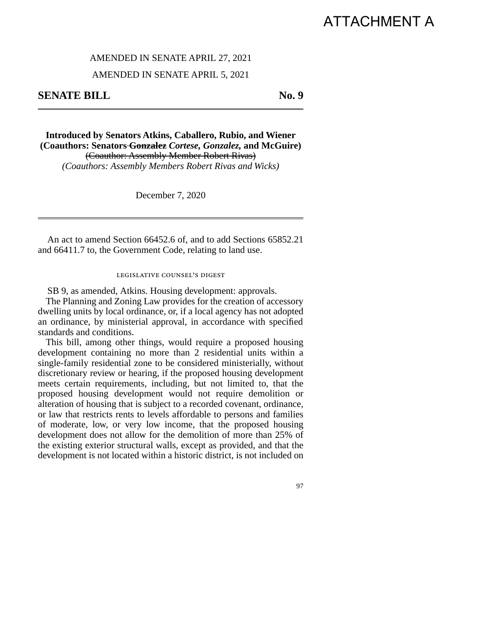# ATTACHMENT A

#### AMENDED IN SENATE APRIL 27, 2021

#### AMENDED IN SENATE APRIL 5, 2021

**SENATE BILL** No. 9

**Introduced by Senators Atkins, Caballero, Rubio, and Wiener (Coauthors: Senators Gonzalez** *Cortese, Gonzalez,* **and McGuire)**  (Coauthor: Assembly Member Robert Rivas) *(Coauthors: Assembly Members Robert Rivas and Wicks)*

December 7, 2020

An act to amend Section 66452.6 of, and to add Sections 65852.21 and 66411.7 to, the Government Code, relating to land use.

#### legislative counsel's digest

SB 9, as amended, Atkins. Housing development: approvals.

The Planning and Zoning Law provides for the creation of accessory dwelling units by local ordinance, or, if a local agency has not adopted an ordinance, by ministerial approval, in accordance with specified standards and conditions.

This bill, among other things, would require a proposed housing development containing no more than 2 residential units within a single-family residential zone to be considered ministerially, without discretionary review or hearing, if the proposed housing development meets certain requirements, including, but not limited to, that the proposed housing development would not require demolition or alteration of housing that is subject to a recorded covenant, ordinance, or law that restricts rents to levels affordable to persons and families of moderate, low, or very low income, that the proposed housing development does not allow for the demolition of more than 25% of the existing exterior structural walls, except as provided, and that the development is not located within a historic district, is not included on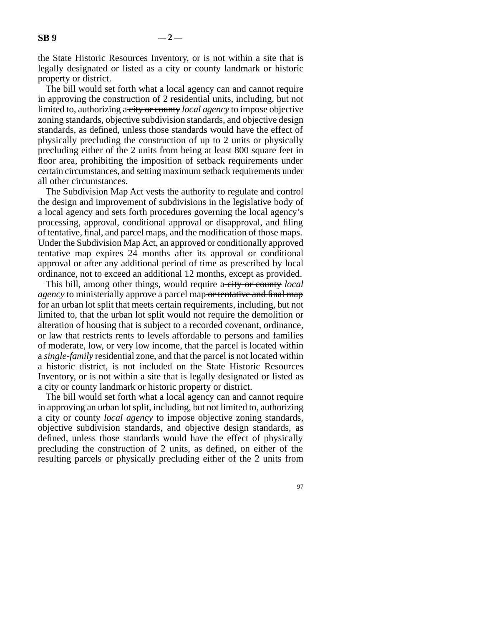the State Historic Resources Inventory, or is not within a site that is legally designated or listed as a city or county landmark or historic property or district.

The bill would set forth what a local agency can and cannot require in approving the construction of 2 residential units, including, but not limited to, authorizing a city or county *local agency* to impose objective zoning standards, objective subdivision standards, and objective design standards, as defined, unless those standards would have the effect of physically precluding the construction of up to 2 units or physically precluding either of the 2 units from being at least 800 square feet in floor area, prohibiting the imposition of setback requirements under certain circumstances, and setting maximum setback requirements under all other circumstances.

The Subdivision Map Act vests the authority to regulate and control the design and improvement of subdivisions in the legislative body of a local agency and sets forth procedures governing the local agency's processing, approval, conditional approval or disapproval, and filing of tentative, final, and parcel maps, and the modification of those maps. Under the Subdivision Map Act, an approved or conditionally approved tentative map expires 24 months after its approval or conditional approval or after any additional period of time as prescribed by local ordinance, not to exceed an additional 12 months, except as provided.

This bill, among other things, would require a-city or county *local agency* to ministerially approve a parcel map or tentative and final map for an urban lot split that meets certain requirements, including, but not limited to, that the urban lot split would not require the demolition or alteration of housing that is subject to a recorded covenant, ordinance, or law that restricts rents to levels affordable to persons and families of moderate, low, or very low income, that the parcel is located within a *single-family* residential zone, and that the parcel is not located within a historic district, is not included on the State Historic Resources Inventory, or is not within a site that is legally designated or listed as a city or county landmark or historic property or district.

The bill would set forth what a local agency can and cannot require in approving an urban lot split, including, but not limited to, authorizing a city or county *local agency* to impose objective zoning standards, objective subdivision standards, and objective design standards, as defined, unless those standards would have the effect of physically precluding the construction of 2 units, as defined, on either of the resulting parcels or physically precluding either of the 2 units from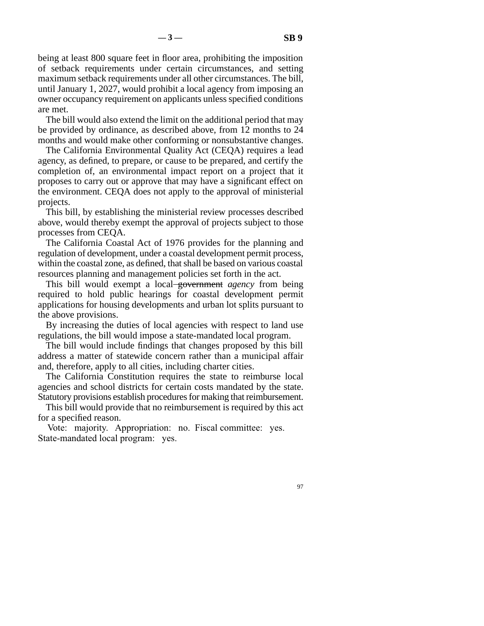being at least 800 square feet in floor area, prohibiting the imposition of setback requirements under certain circumstances, and setting maximum setback requirements under all other circumstances. The bill, until January 1, 2027, would prohibit a local agency from imposing an owner occupancy requirement on applicants unless specified conditions are met.

The bill would also extend the limit on the additional period that may be provided by ordinance, as described above, from 12 months to 24 months and would make other conforming or nonsubstantive changes.

The California Environmental Quality Act (CEQA) requires a lead agency, as defined, to prepare, or cause to be prepared, and certify the completion of, an environmental impact report on a project that it proposes to carry out or approve that may have a significant effect on the environment. CEQA does not apply to the approval of ministerial projects.

This bill, by establishing the ministerial review processes described above, would thereby exempt the approval of projects subject to those processes from CEQA.

The California Coastal Act of 1976 provides for the planning and regulation of development, under a coastal development permit process, within the coastal zone, as defined, that shall be based on various coastal resources planning and management policies set forth in the act.

This bill would exempt a local government *agency* from being required to hold public hearings for coastal development permit applications for housing developments and urban lot splits pursuant to the above provisions.

By increasing the duties of local agencies with respect to land use regulations, the bill would impose a state-mandated local program.

The bill would include findings that changes proposed by this bill address a matter of statewide concern rather than a municipal affair and, therefore, apply to all cities, including charter cities.

The California Constitution requires the state to reimburse local agencies and school districts for certain costs mandated by the state. Statutory provisions establish procedures for making that reimbursement.

This bill would provide that no reimbursement is required by this act for a specified reason.

Vote: majority. Appropriation: no. Fiscal committee: yes. State-mandated local program: yes.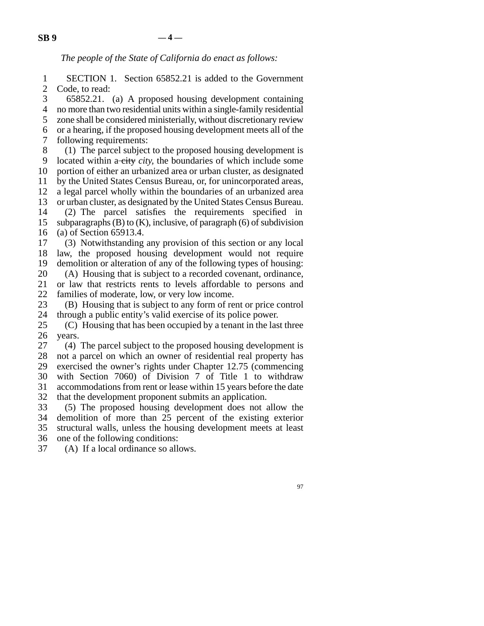*The people of the State of California do enact as follows:* 

1 SECTION 1. Section 65852.21 is added to the Government 2 Code, to read:

3 65852.21. (a) A proposed housing development containing 4 no more than two residential units within a single-family residential 5 zone shall be considered ministerially, without discretionary review line 6 or a hearing, if the proposed housing development meets all of the 7 following requirements:

8 (1) The parcel subject to the proposed housing development is 9 located within a city *city*, the boundaries of which include some 10 portion of either an urbanized area or urban cluster, as designated 11 by the United States Census Bureau, or, for unincorporated areas, 12 a legal parcel wholly within the boundaries of an urbanized area 13 or urban cluster, as designated by the United States Census Bureau. 14 (2) The parcel satisfies the requirements specified in 15 subparagraphs (B) to (K), inclusive, of paragraph (6) of subdivision 16 (a) of Section 65913.4. 17 (3) Notwithstanding any provision of this section or any local 18 law, the proposed housing development would not require

19 demolition or alteration of any of the following types of housing: 20 (A) Housing that is subject to a recorded covenant, ordinance, 21 or law that restricts rents to levels affordable to persons and

22 families of moderate, low, or very low income.<br>23 (B) Housing that is subject to any form of re-

(B) Housing that is subject to any form of rent or price control 24 through a public entity's valid exercise of its police power.

25  $\hbox{(C)}$  Housing that has been occupied by a tenant in the last three 26 years.

27  $(4)$  The parcel subject to the proposed housing development is 28 not a parcel on which an owner of residential real property has 29 exercised the owner's rights under Chapter 12.75 (commencing 30 with Section 7060) of Division 7 of Title 1 to withdraw 31 accommodations from rent or lease within 15 years before the date

32 that the development proponent submits an application. 33 (5) The proposed housing development does not allow the 34 demolition of more than 25 percent of the existing exterior

demolition of more than 25 percent of the existing exterior 35 structural walls, unless the housing development meets at least

36 one of the following conditions:

37 (A) If a local ordinance so allows.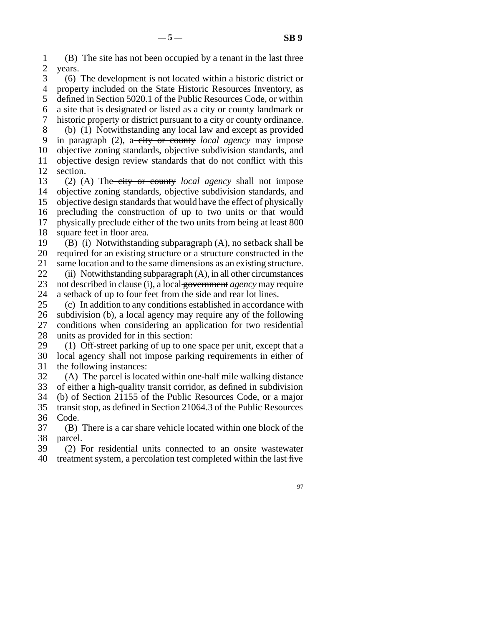line 1 (B) The site has not been occupied by a tenant in the last three 2 years.

3 (6) The development is not located within a historic district or 4 property included on the State Historic Resources Inventory, as 5 defined in Section 5020.1 of the Public Resources Code, or within line 6 a site that is designated or listed as a city or county landmark or line 7 historic property or district pursuant to a city or county ordinance. 8 (b) (1) Notwithstanding any local law and except as provided 9 in paragraph (2), a city or county *local agency* may impose 10 objective zoning standards, objective subdivision standards, and 11 objective design review standards that do not conflict with this 12 section.

13 (2) (A) The city or county *local agency* shall not impose 14 objective zoning standards, objective subdivision standards, and 15 objective design standards that would have the effect of physically 16 precluding the construction of up to two units or that would 17 physically preclude either of the two units from being at least 800 18 square feet in floor area.

19  $(B)$  (i) Notwithstanding subparagraph  $(A)$ , no setback shall be 20 required for an existing structure or a structure constructed in the

21 same location and to the same dimensions as an existing structure.

22 (ii) Notwithstanding subparagraph  $(A)$ , in all other circumstances<br>23 not described in clause (i), a local government *agency* may require not described in clause (i), a local government *agency* may require

24 a setback of up to four feet from the side and rear lot lines.<br>25 (c) In addition to any conditions established in accordance line 25 (c) In addition to any conditions established in accordance with 26 subdivision (b), a local agency may require any of the following 27 conditions when considering an application for two residential 28 units as provided for in this section:

29  $\hspace{0.1cm}$  (1) Off-street parking of up to one space per unit, except that a 30 local agency shall not impose parking requirements in either of 31 the following instances:

 $\delta$  32 (A) The parcel is located within one-half mile walking distance 33 of either a high-quality transit corridor, as defined in subdivision 34 (b) of Section 21155 of the Public Resources Code, or a major

35 transit stop, as defined in Section 21064.3 of the Public Resources 36 Code.

37 (B) There is a car share vehicle located within one block of the 38 parcel.

39 (2) For residential units connected to an onsite wastewater 40 treatment system, a percolation test completed within the last five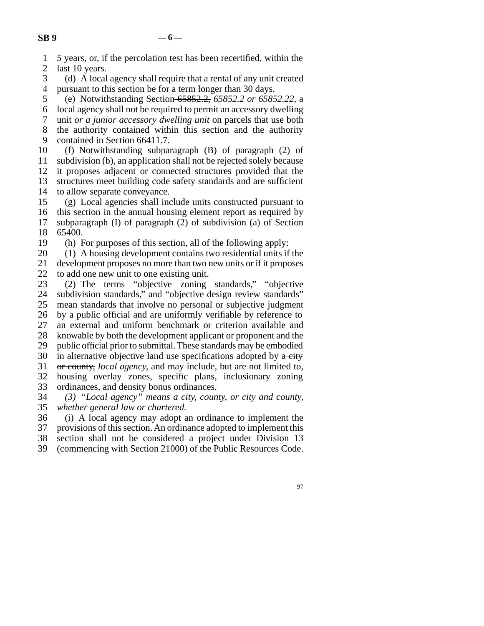1 *5* years, or, if the percolation test has been recertified, within the

2 last 10 years.<br>3 (d) A local (d) A local agency shall require that a rental of any unit created 4 pursuant to this section be for a term longer than 30 days.

 line 5 (e) Notwithstanding Section 65852.2, *65852.2 or 65852.22,* a line 6 local agency shall not be required to permit an accessory dwelling

 line 7 unit *or a junior accessory dwelling unit* on parcels that use both 8 the authority contained within this section and the authority

9 contained in Section 66411.7.

10 (f) Notwithstanding subparagraph (B) of paragraph (2) of 11 subdivision (b), an application shall not be rejected solely because 12 it proposes adjacent or connected structures provided that the

13 structures meet building code safety standards and are sufficient 14 to allow separate conveyance.

 $15$  (g) Local agencies shall include units constructed pursuant to 16 this section in the annual housing element report as required by 17 subparagraph (I) of paragraph (2) of subdivision (a) of Section 18 65400.

19 (h) For purposes of this section, all of the following apply:

 $20$  (1) A housing development contains two residential units if the 21 development proposes no more than two new units or if it proposes

22 to add one new unit to one existing unit.<br>23 (2) The terms "objective zoning" line 23 (2) The terms "objective zoning standards," "objective 24 subdivision standards," and "objective design review standards"<br>25 mean standards that involve no personal or subjective judgment mean standards that involve no personal or subjective judgment 26 by a public official and are uniformly verifiable by reference to 27 an external and uniform benchmark or criterion available and 28 knowable by both the development applicant or proponent and the 29 public official prior to submittal. These standards may be embodied 30 in alternative objective land use specifications adopted by a-city 31 or county, *local agency*, and may include, but are not limited to, 32 housing overlay zones, specific plans, inclusionary zoning

33 ordinances, and density bonus ordinances.

 line 34 *(3) "Local agency" means a city, county, or city and county,*  line 35 *whether general law or chartered.* 

36 (i) A local agency may adopt an ordinance to implement the 37 provisions of this section. An ordinance adopted to implement this 38 section shall not be considered a project under Division 13

39 (commencing with Section 21000) of the Public Resources Code.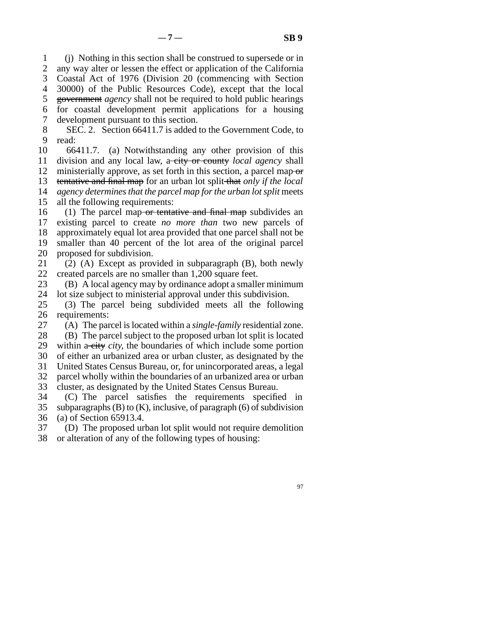line 1 (j) Nothing in this section shall be construed to supersede or in 2 any way alter or lessen the effect or application of the California 3 Coastal Act of 1976 (Division 20 (commencing with Section line 4 30000) of the Public Resources Code), except that the local 5 government *agency* shall not be required to hold public hearings line 6 for coastal development permit applications for a housing 7 development pursuant to this section.

8 SEC. 2. Section 66411.7 is added to the Government Code, to 9 read:

10 66411.7. (a) Notwithstanding any other provision of this 11 division and any local law, a city or county *local agency* shall 12 ministerially approve, as set forth in this section, a parcel map  $\sigma$ 13 tentative and final map for an urban lot split that *only if the local* 14 *agency determines that the parcel map for the urban lot split meets* 15 all the following requirements:

16 (1) The parcel map or tentative and final map subdivides an 17 existing parcel to create *no more than* two new parcels of 18 approximately equal lot area provided that one parcel shall not be 19 smaller than 40 percent of the lot area of the original parcel 20 proposed for subdivision.

21 (2) (A) Except as provided in subparagraph (B), both newly 22 created parcels are no smaller than 1,200 square feet.

23 (B) A local agency may by ordinance adopt a smaller minimum

24 lot size subject to ministerial approval under this subdivision.<br>25 (3) The parcel being subdivided meets all the follow line 25 (3) The parcel being subdivided meets all the following 26 requirements:

27 (A) The parcel is located within a *single-family* residential zone. 28 (B) The parcel subject to the proposed urban lot split is located

29 within a city *city*, the boundaries of which include some portion

30 of either an urbanized area or urban cluster, as designated by the

31 United States Census Bureau, or, for unincorporated areas, a legal

32 parcel wholly within the boundaries of an urbanized area or urban

33 cluster, as designated by the United States Census Bureau.

34 (C) The parcel satisfies the requirements specified in 35 subparagraphs (B) to (K), inclusive, of paragraph (6) of subdivision 36 (a) of Section 65913.4.

37 (D) The proposed urban lot split would not require demolition 38 or alteration of any of the following types of housing: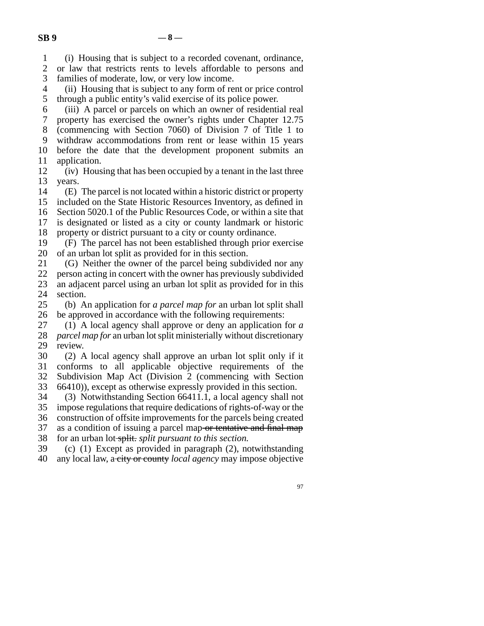line 1 (i) Housing that is subject to a recorded covenant, ordinance,

2 or law that restricts rents to levels affordable to persons and 3 families of moderate, low, or very low income.

4 (ii) Housing that is subject to any form of rent or price control 5 through a public entity's valid exercise of its police power.

line 6 (iii) A parcel or parcels on which an owner of residential real

7 property has exercised the owner's rights under Chapter 12.75 8 (commencing with Section 7060) of Division 7 of Title 1 to

9 withdraw accommodations from rent or lease within 15 years

10 before the date that the development proponent submits an 11 application.

12 (iv) Housing that has been occupied by a tenant in the last three 13 years.

14 (E) The parcel is not located within a historic district or property 15 included on the State Historic Resources Inventory, as defined in

16 Section 5020.1 of the Public Resources Code, or within a site that

17 is designated or listed as a city or county landmark or historic 18 property or district pursuant to a city or county ordinance.

19 (F) The parcel has not been established through prior exercise 20 of an urban lot split as provided for in this section.

21 (G) Neither the owner of the parcel being subdivided nor any

22 person acting in concert with the owner has previously subdivided<br>23 an adiacent parcel using an urban lot split as provided for in this an adjacent parcel using an urban lot split as provided for in this 24 section.<br>25 (b) A

(b) An application for *a parcel map for* an urban lot split shall 26 be approved in accordance with the following requirements:

27 (1) A local agency shall approve or deny an application for a 28 *parcel map for* an urban lot split ministerially without discretionary 29 review.

30 (2) A local agency shall approve an urban lot split only if it 31 conforms to all applicable objective requirements of the 32 Subdivision Map Act (Division 2 (commencing with Section 33  $66410$ ), except as otherwise expressly provided in this section.

34 (3) Notwithstanding Section 66411.1, a local agency shall not 35 impose regulations that require dedications of rights-of-way or the 36 construction of offsite improvements for the parcels being created 37 as a condition of issuing a parcel map or tentative and final map 38 for an urban lot-split. *split pursuant to this section*.

39 (c) (1) Except as provided in paragraph  $(2)$ , notwithstanding line 40 any local law, a city or county *local agency* may impose objective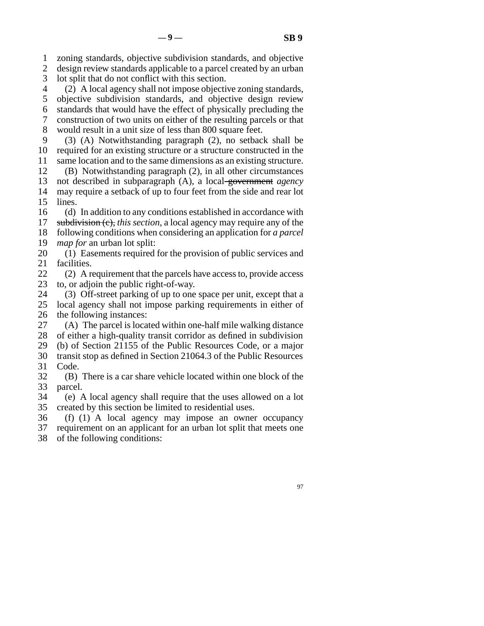line 1 zoning standards, objective subdivision standards, and objective

2 design review standards applicable to a parcel created by an urban

3 lot split that do not conflict with this section.

 line 4 (2) A local agency shall not impose objective zoning standards, 5 objective subdivision standards, and objective design review line 6 standards that would have the effect of physically precluding the line 7 construction of two units on either of the resulting parcels or that

8 would result in a unit size of less than 800 square feet.

9 (3) (A) Notwithstanding paragraph (2), no setback shall be 10 required for an existing structure or a structure constructed in the

11 same location and to the same dimensions as an existing structure. 12 (B) Notwithstanding paragraph  $(2)$ , in all other circumstances

13 not described in subparagraph (A), a local government *agency* 14 may require a setback of up to four feet from the side and rear lot 15 lines.

16 (d) In addition to any conditions established in accordance with 17 subdivision (c), *this section*, a local agency may require any of the

18 following conditions when considering an application for *a parcel* 

19 *map for* an urban lot split:

20 (1) Easements required for the provision of public services and 21 facilities.

22 (2) A requirement that the parcels have access to, provide access to, or adioin the public right-of-way. to, or adjoin the public right-of-way.

24 (3) Off-street parking of up to one space per unit, except that a<br>25 local agency shall not impose parking requirements in either of

local agency shall not impose parking requirements in either of 26 the following instances:

27  $(A)$  The parcel is located within one-half mile walking distance 28 of either a high-quality transit corridor as defined in subdivision 29 (b) of Section 21155 of the Public Resources Code, or a major

- 30 transit stop as defined in Section 21064.3 of the Public Resources 31 Code.
- $32$  (B) There is a car share vehicle located within one block of the 33 parcel.
- line 34 (e) A local agency shall require that the uses allowed on a lot 35 created by this section be limited to residential uses.

36 (f) (1) A local agency may impose an owner occupancy 37 requirement on an applicant for an urban lot split that meets one 38 of the following conditions: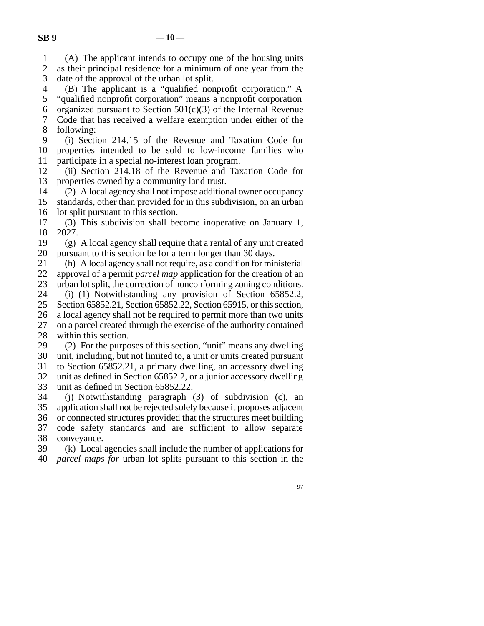line 1 (A) The applicant intends to occupy one of the housing units 2 as their principal residence for a minimum of one year from the 3 date of the approval of the urban lot split.

- line 4 (B) The applicant is a "qualified nonprofit corporation." A
- 5 "qualified nonprofit corporation" means a nonprofit corporation
- 6 organized pursuant to Section  $501(c)(3)$  of the Internal Revenue 7 Code that has received a welfare exemption under either of the
- 8 following:
- 9 (i) Section 214.15 of the Revenue and Taxation Code for 10 properties intended to be sold to low-income families who 11 participate in a special no-interest loan program.
- 12 (ii) Section 214.18 of the Revenue and Taxation Code for 13 properties owned by a community land trust.
- $14 \qquad (2)$  A local agency shall not impose additional owner occupancy
- 15 standards, other than provided for in this subdivision, on an urban 16 lot split pursuant to this section.
- $17$  (3) This subdivision shall become inoperative on January 1, line 18 2027.
- 19 (g) A local agency shall require that a rental of any unit created 20 pursuant to this section be for a term longer than 30 days.
- 21 (h) A local agency shall not require, as a condition for ministerial 22 approval of a permit *parcel map* application for the creation of an 23 urban lot split, the correction of nonconforming zoning conditions.
- 
- 24 (i) (1) Notwithstanding any provision of Section 65852.2, 25 Section 65852.21, Section 65852.22, Section 65915, or this section, Section 65852.21, Section 65852.22, Section 65915, or this section, 26 a local agency shall not be required to permit more than two units 27 on a parcel created through the exercise of the authority contained 28 within this section.
- 29  $(2)$  For the purposes of this section, "unit" means any dwelling 30 unit, including, but not limited to, a unit or units created pursuant
- 31 to Section 65852.21, a primary dwelling, an accessory dwelling 32 unit as defined in Section 65852.2, or a junior accessory dwelling
- 33 unit as defined in Section 65852.22.
- 34 (j) Notwithstanding paragraph (3) of subdivision (c), an 35 application shall not be rejected solely because it proposes adjacent 36 or connected structures provided that the structures meet building 37 code safety standards and are sufficient to allow separate 38 conveyance.
- line 39 (k) Local agencies shall include the number of applications for line 40 *parcel maps for* urban lot splits pursuant to this section in the
	- 97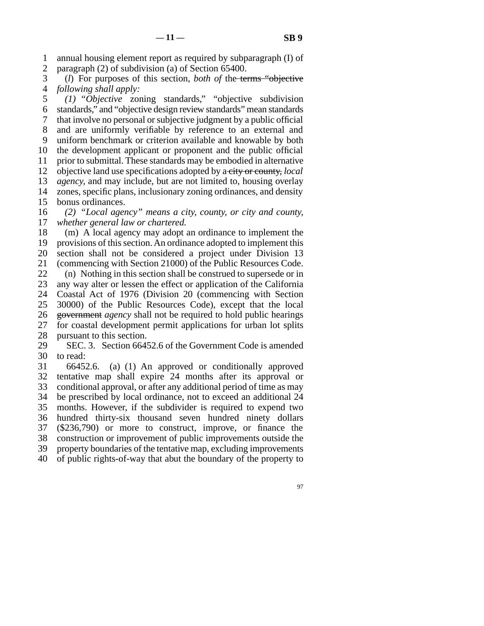line 1 annual housing element report as required by subparagraph (I) of 2 paragraph (2) of subdivision (a) of Section 65400.

 line 3 (*l*) For purposes of this section, *both of* the terms "objective 4 *following shall apply:* 

 line 5 *(1) "Objective* zoning standards," "objective subdivision line 6 standards," and "objective design review standards" mean standards line 7 that involve no personal or subjective judgment by a public official 8 and are uniformly verifiable by reference to an external and 9 uniform benchmark or criterion available and knowable by both 10 the development applicant or proponent and the public official 11 prior to submittal. These standards may be embodied in alternative 12 objective land use specifications adopted by a city or county, *local* 13 *agency*, and may include, but are not limited to, housing overlay 14 zones, specific plans, inclusionary zoning ordinances, and density 15 bonus ordinances. 16 (2) "Local agency" means a city, county, or city and county,

17 *whether general law or chartered.* 

18 (m) A local agency may adopt an ordinance to implement the 19 provisions of this section. An ordinance adopted to implement this 20 section shall not be considered a project under Division 13 21 (commencing with Section 21000) of the Public Resources Code. 22 (n) Nothing in this section shall be construed to supersede or in<br>23 any way alter or lessen the effect or application of the California any way alter or lessen the effect or application of the California 24 Coastal Act of 1976 (Division 20 (commencing with Section 25 30000) of the Public Resources Code), except that the local 30000) of the Public Resources Code), except that the local 26 government *agency* shall not be required to hold public hearings 27 for coastal development permit applications for urban lot splits 28 pursuant to this section.

29 SEC. 3. Section 66452.6 of the Government Code is amended 30 to read:

31 66452.6. (a) (1) An approved or conditionally approved 32 tentative map shall expire 24 months after its approval or 33 conditional approval, or after any additional period of time as may 34 be prescribed by local ordinance, not to exceed an additional 24 35 months. However, if the subdivider is required to expend two 36 hundred thirty-six thousand seven hundred ninety dollars 37 (\$236,790) or more to construct, improve, or finance the 38 construction or improvement of public improvements outside the 39 property boundaries of the tentative map, excluding improvements 40 of public rights-of-way that abut the boundary of the property to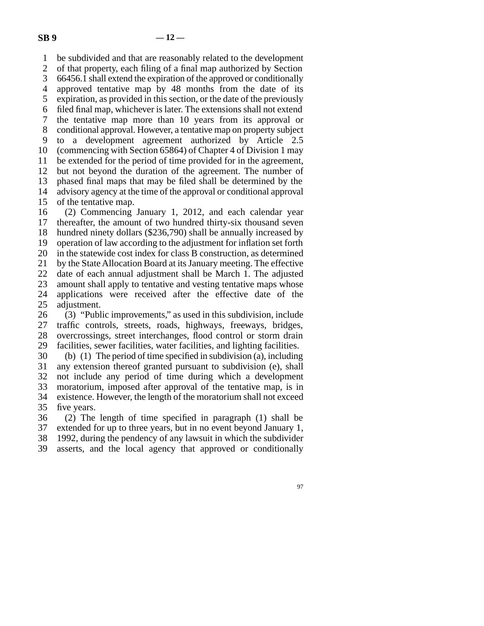line 1 be subdivided and that are reasonably related to the development 2 of that property, each filing of a final map authorized by Section<br>3 66456.1 shall extend the expiration of the approved or conditionally 66456.1 shall extend the expiration of the approved or conditionally 4 approved tentative map by 48 months from the date of its 5 expiration, as provided in this section, or the date of the previously 6 filed final map, whichever is later. The extensions shall not extend 7 the tentative map more than 10 years from its approval or 8 conditional approval. However, a tentative map on property subject line 9 to a development agreement authorized by Article 2.5 10 (commencing with Section 65864) of Chapter 4 of Division 1 may 11 be extended for the period of time provided for in the agreement, 12 but not beyond the duration of the agreement. The number of 13 phased final maps that may be filed shall be determined by the 14 advisory agency at the time of the approval or conditional approval 15 of the tentative map.

16 (2) Commencing January 1, 2012, and each calendar year 17 thereafter, the amount of two hundred thirty-six thousand seven 18 hundred ninety dollars (\$236,790) shall be annually increased by 19 operation of law according to the adjustment for inflation set forth 20 in the statewide cost index for class B construction, as determined 21 by the State Allocation Board at its January meeting. The effective 22 date of each annual adjustment shall be March 1. The adjusted 23 amount shall apply to tentative and vesting tentative maps whose 24 applications were received after the effective date of the 25 adjustment. adjustment. 26  $(3)$  "Public improvements," as used in this subdivision, include

27 traffic controls, streets, roads, highways, freeways, bridges, 28 overcrossings, street interchanges, flood control or storm drain 29 facilities, sewer facilities, water facilities, and lighting facilities.

30 (b) (1) The period of time specified in subdivision (a), including 31 any extension thereof granted pursuant to subdivision (e), shall 32 not include any period of time during which a development 33 moratorium, imposed after approval of the tentative map, is in 34 existence. However, the length of the moratorium shall not exceed 35 five years.

 $36$  (2) The length of time specified in paragraph (1) shall be 37 extended for up to three years, but in no event beyond January 1, 38 1992, during the pendency of any lawsuit in which the subdivider 39 asserts, and the local agency that approved or conditionally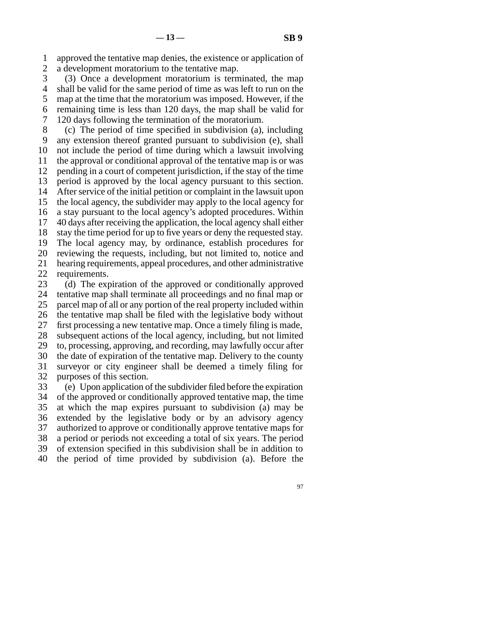line 1 approved the tentative map denies, the existence or application of 2 a development moratorium to the tentative map.

3 (3) Once a development moratorium is terminated, the map 4 shall be valid for the same period of time as was left to run on the 5 map at the time that the moratorium was imposed. However, if the line 6 remaining time is less than 120 days, the map shall be valid for 7 120 days following the termination of the moratorium.

 line 8 (c) The period of time specified in subdivision (a), including 9 any extension thereof granted pursuant to subdivision (e), shall 10 not include the period of time during which a lawsuit involving 11 the approval or conditional approval of the tentative map is or was 12 pending in a court of competent jurisdiction, if the stay of the time 13 period is approved by the local agency pursuant to this section. 14 After service of the initial petition or complaint in the lawsuit upon 15 the local agency, the subdivider may apply to the local agency for 16 a stay pursuant to the local agency's adopted procedures. Within  $17$  40 days after receiving the application, the local agency shall either 18 stay the time period for up to five years or deny the requested stay. 19 The local agency may, by ordinance, establish procedures for 20 reviewing the requests, including, but not limited to, notice and 21 hearing requirements, appeal procedures, and other administrative 22 requirements. 23 (d) The expiration of the approved or conditionally approved 24 tentative map shall terminate all proceedings and no final map or 25 parcel map of all or any portion of the real property included within parcel map of all or any portion of the real property included within 26 the tentative map shall be filed with the legislative body without 27 first processing a new tentative map. Once a timely filing is made, 28 subsequent actions of the local agency, including, but not limited 29 to, processing, approving, and recording, may lawfully occur after 30 the date of expiration of the tentative map. Delivery to the county 31 surveyor or city engineer shall be deemed a timely filing for 32 purposes of this section. 33 (e) Upon application of the subdivider filed before the expiration

34 of the approved or conditionally approved tentative map, the time 35 at which the map expires pursuant to subdivision (a) may be 36 extended by the legislative body or by an advisory agency 37 authorized to approve or conditionally approve tentative maps for 38 a period or periods not exceeding a total of six years. The period 39 of extension specified in this subdivision shall be in addition to line 40 the period of time provided by subdivision (a). Before the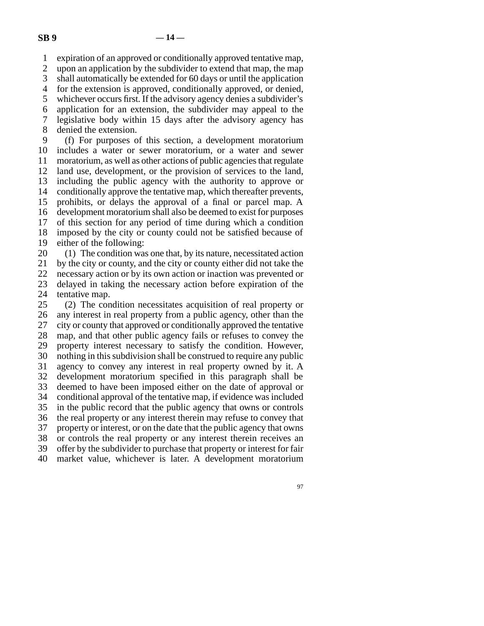1 expiration of an approved or conditionally approved tentative map,

2 upon an application by the subdivider to extend that map, the map<br>3 shall automatically be extended for 60 days or until the application

shall automatically be extended for 60 days or until the application

4 for the extension is approved, conditionally approved, or denied,

5 whichever occurs first. If the advisory agency denies a subdivider's

 line 6 application for an extension, the subdivider may appeal to the 7 legislative body within 15 days after the advisory agency has

8 denied the extension.

9 (f) For purposes of this section, a development moratorium 10 includes a water or sewer moratorium, or a water and sewer 11 moratorium, as well as other actions of public agencies that regulate 12 land use, development, or the provision of services to the land, 13 including the public agency with the authority to approve or 14 conditionally approve the tentative map, which thereafter prevents, 15 prohibits, or delays the approval of a final or parcel map. A 16 development moratorium shall also be deemed to exist for purposes 17 of this section for any period of time during which a condition 18 imposed by the city or county could not be satisfied because of 19 either of the following:

 $20$  (1) The condition was one that, by its nature, necessitated action 21 by the city or county, and the city or county either did not take the 22 necessary action or by its own action or inaction was prevented or 23 delayed in taking the necessary action before expiration of the

24 tentative map.<br>25 (2) The con  $\lambda$ ) The condition necessitates acquisition of real property or 26 any interest in real property from a public agency, other than the 27 city or county that approved or conditionally approved the tentative 28 map, and that other public agency fails or refuses to convey the 29 property interest necessary to satisfy the condition. However, 30 nothing in this subdivision shall be construed to require any public 31 agency to convey any interest in real property owned by it. A 32 development moratorium specified in this paragraph shall be 33 deemed to have been imposed either on the date of approval or 34 conditional approval of the tentative map, if evidence was included 35 in the public record that the public agency that owns or controls 36 the real property or any interest therein may refuse to convey that 37 property or interest, or on the date that the public agency that owns 38 or controls the real property or any interest therein receives an 39 offer by the subdivider to purchase that property or interest for fair 40 market value, whichever is later. A development moratorium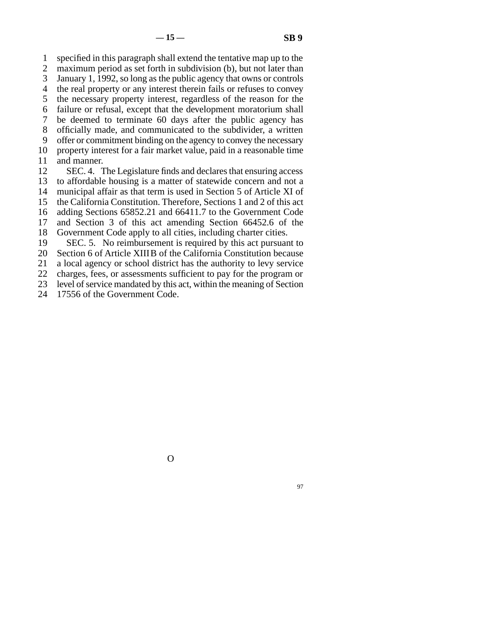line 1 specified in this paragraph shall extend the tentative map up to the

2 maximum period as set forth in subdivision (b), but not later than 3 January 1, 1992, so long as the public agency that owns or controls

4 the real property or any interest therein fails or refuses to convey

5 the necessary property interest, regardless of the reason for the

line 6 failure or refusal, except that the development moratorium shall

7 be deemed to terminate 60 days after the public agency has

8 officially made, and communicated to the subdivider, a written<br>9 offer or commitment binding on the agency to convey the necessary offer or commitment binding on the agency to convey the necessary

10 property interest for a fair market value, paid in a reasonable time

11 and manner.

12 SEC. 4. The Legislature finds and declares that ensuring access

13 to affordable housing is a matter of statewide concern and not a

14 municipal affair as that term is used in Section 5 of Article XI of

15 the California Constitution. Therefore, Sections 1 and 2 of this act

16 adding Sections 65852.21 and 66411.7 to the Government Code

17 and Section 3 of this act amending Section 66452.6 of the

18 Government Code apply to all cities, including charter cities.

19 SEC. 5. No reimbursement is required by this act pursuant to

20 Section 6 of Article XIIIB of the California Constitution because

21 a local agency or school district has the authority to levy service

22 charges, fees, or assessments sufficient to pay for the program or

23 level of service mandated by this act, within the meaning of Section

24 17556 of the Government Code.

O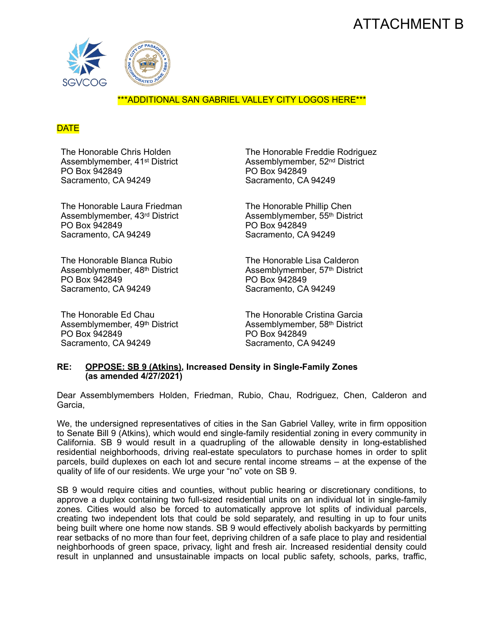# ATTACHMENT B



### \*\*\*ADDITIONAL SAN GABRIEL VALLEY CITY LOGOS HERE\*\*\*

### **DATE**

The Honorable Chris Holden Assemblymember, 41st District PO Box 942849 Sacramento, CA 94249

The Honorable Laura Friedman Assemblymember, 43rd District PO Box 942849 Sacramento, CA 94249

The Honorable Blanca Rubio Assemblymember, 48th District PO Box 942849 Sacramento, CA 94249

The Honorable Ed Chau Assemblymember, 49th District PO Box 942849 Sacramento, CA 94249

The Honorable Freddie Rodriguez Assemblymember, 52nd District PO Box 942849 Sacramento, CA 94249

The Honorable Phillip Chen Assemblymember, 55th District PO Box 942849 Sacramento, CA 94249

The Honorable Lisa Calderon Assemblymember, 57th District PO Box 942849 Sacramento, CA 94249

The Honorable Cristina Garcia Assemblymember, 58th District PO Box 942849 Sacramento, CA 94249

#### **RE: OPPOSE: SB 9 (Atkins), Increased Density in Single-Family Zones (as amended 4/27/2021)**

Dear Assemblymembers Holden, Friedman, Rubio, Chau, Rodriguez, Chen, Calderon and Garcia,

We, the undersigned representatives of cities in the San Gabriel Valley, write in firm opposition to Senate Bill 9 (Atkins), which would end single-family residential zoning in every community in California. SB 9 would result in a quadrupling of the allowable density in long-established residential neighborhoods, driving real-estate speculators to purchase homes in order to split parcels, build duplexes on each lot and secure rental income streams – at the expense of the quality of life of our residents. We urge your "no" vote on SB 9.

SB 9 would require cities and counties, without public hearing or discretionary conditions, to approve a duplex containing two full-sized residential units on an individual lot in single-family zones. Cities would also be forced to automatically approve lot splits of individual parcels, creating two independent lots that could be sold separately, and resulting in up to four units being built where one home now stands. SB 9 would effectively abolish backyards by permitting rear setbacks of no more than four feet, depriving children of a safe place to play and residential neighborhoods of green space, privacy, light and fresh air. Increased residential density could result in unplanned and unsustainable impacts on local public safety, schools, parks, traffic,